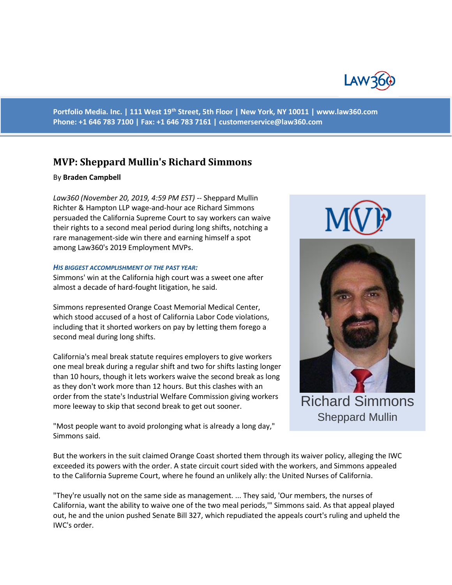

**Portfolio Media. Inc. | 111 West 19th Street, 5th Floor | New York, NY 10011 | www.law360.com Phone: +1 646 783 7100 | Fax: +1 646 783 7161 | [customerservice@law360.com](mailto:customerservice@law360.com)**

# **MVP: Sheppard Mullin's Richard Simmons**

#### By **Braden Campbell**

*Law360 (November 20, 2019, 4:59 PM EST)* -- Sheppard Mullin Richter & Hampton LLP wage-and-hour ace Richard Simmons persuaded the California Supreme Court to say workers can waive their rights to a second meal period during long shifts, notching a rare management-side win there and earning himself a spot among Law360's 2019 Employment MVPs.

#### *HIS BIGGEST ACCOMPLISHMENT OF THE PAST YEAR:*

Simmons' win at the California high court was a sweet one after almost a decade of hard-fought litigation, he said.

Simmons represented Orange Coast Memorial Medical Center, which stood accused of a host of California Labor Code violations, including that it shorted workers on pay by letting them forego a second meal during long shifts.

California's meal break statute requires employers to give workers one meal break during a regular shift and two for shifts lasting longer than 10 hours, though it lets workers waive the second break as long as they don't work more than 12 hours. But this clashes with an order from the state's Industrial Welfare Commission giving workers more leeway to skip that second break to get out sooner.

"Most people want to avoid prolonging what is already a long day," Simmons said.





Sheppard Mullin

But the workers in the suit claimed Orange Coast shorted them through its waiver policy, alleging the IWC exceeded its powers with the order. A state circuit court sided with the workers, and Simmons appealed to the California Supreme Court, where he found an unlikely ally: the United Nurses of California.

"They're usually not on the same side as management. ... They said, 'Our members, the nurses of California, want the ability to waive one of the two meal periods,'" Simmons said. As that appeal played out, he and the union pushed Senate Bill 327, which repudiated the appeals court's ruling and upheld the IWC's order.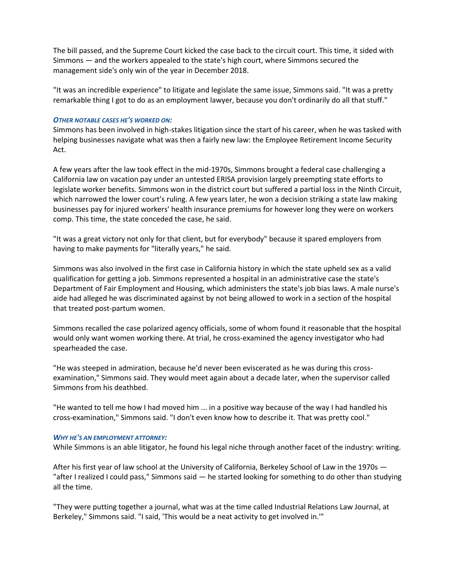The bill passed, and the Supreme Court kicked the case back to the circuit court. This time, it sided with Simmons — and the workers appealed to the state's high court, where Simmons secured the management side's only win of the year in December 2018.

"It was an incredible experience" to litigate and legislate the same issue, Simmons said. "It was a pretty remarkable thing I got to do as an employment lawyer, because you don't ordinarily do all that stuff."

## *OTHER NOTABLE CASES HE'S WORKED ON:*

Simmons has been involved in high-stakes litigation since the start of his career, when he was tasked with helping businesses navigate what was then a fairly new law: the Employee Retirement Income Security Act.

A few years after the law took effect in the mid-1970s, Simmons brought a federal case challenging a California law on vacation pay under an untested ERISA provision largely preempting state efforts to legislate worker benefits. Simmons won in the district court but suffered a partial loss in the Ninth Circuit, which narrowed the lower court's ruling. A few years later, he won a decision striking a state law making businesses pay for injured workers' health insurance premiums for however long they were on workers comp. This time, the state conceded the case, he said.

"It was a great victory not only for that client, but for everybody" because it spared employers from having to make payments for "literally years," he said.

Simmons was also involved in the first case in California history in which the state upheld sex as a valid qualification for getting a job. Simmons represented a hospital in an administrative case the state's Department of Fair Employment and Housing, which administers the state's job bias laws. A male nurse's aide had alleged he was discriminated against by not being allowed to work in a section of the hospital that treated post-partum women.

Simmons recalled the case polarized agency officials, some of whom found it reasonable that the hospital would only want women working there. At trial, he cross-examined the agency investigator who had spearheaded the case.

"He was steeped in admiration, because he'd never been eviscerated as he was during this crossexamination," Simmons said. They would meet again about a decade later, when the supervisor called Simmons from his deathbed.

"He wanted to tell me how I had moved him ... in a positive way because of the way I had handled his cross-examination," Simmons said. "I don't even know how to describe it. That was pretty cool."

## *WHY HE'S AN EMPLOYMENT ATTORNEY:*

While Simmons is an able litigator, he found his legal niche through another facet of the industry: writing.

After his first year of law school at the University of California, Berkeley School of Law in the 1970s — "after I realized I could pass," Simmons said — he started looking for something to do other than studying all the time.

"They were putting together a journal, what was at the time called Industrial Relations Law Journal, at Berkeley," Simmons said. "I said, 'This would be a neat activity to get involved in.'"